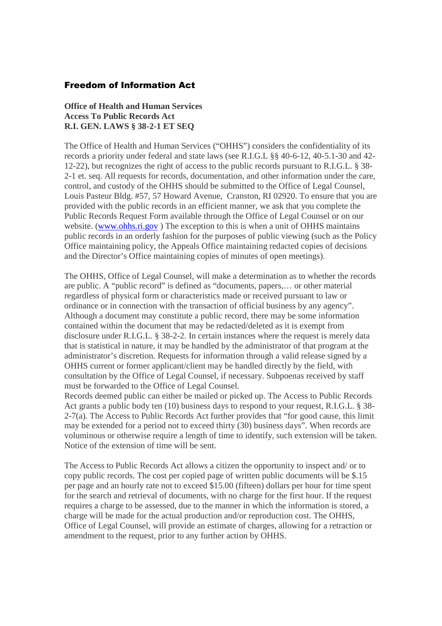## Freedom of Information Act

**Office of Health and Human Services Access To Public Records Act R.I. GEN. LAWS § 38-2-1 ET SEQ**

The Office of Health and Human Services ("OHHS") considers the confidentiality of its records a priority under federal and state laws (see R.I.G.L §§ 40-6-12, 40-5.1-30 and 42- 12-22), but recognizes the right of access to the public records pursuant to R.I.G.L. § 38- 2-1 et. seq. All requests for records, documentation, and other information under the care, control, and custody of the OHHS should be submitted to the Office of Legal Counsel, Louis Pasteur Bldg. #57, 57 Howard Avenue, Cranston, RI 02920. To ensure that you are provided with the public records in an efficient manner, we ask that you complete the Public Records Request Form available through the Office of Legal Counsel or on our website. (www.ohhs.ri.gov) The exception to this is when a unit of OHHS maintains public records in an orderly fashion for the purposes of public viewing (such as the Policy Office maintaining policy, the Appeals Office maintaining redacted copies of decisions and the Director's Office maintaining copies of minutes of open meetings).

The OHHS, Office of Legal Counsel, will make a determination as to whether the records are public. A "public record" is defined as "documents, papers,… or other material regardless of physical form or characteristics made or received pursuant to law or ordinance or in connection with the transaction of official business by any agency". Although a document may constitute a public record, there may be some information contained within the document that may be redacted/deleted as it is exempt from disclosure under R.I.G.L. § 38-2-2. In certain instances where the request is merely data that is statistical in nature, it may be handled by the administrator of that program at the administrator's discretion. Requests for information through a valid release signed by a OHHS current or former applicant/client may be handled directly by the field, with consultation by the Office of Legal Counsel, if necessary. Subpoenas received by staff must be forwarded to the Office of Legal Counsel.

Records deemed public can either be mailed or picked up. The Access to Public Records Act grants a public body ten (10) business days to respond to your request, R.I.G.L. § 38- 2-7(a). The Access to Public Records Act further provides that "for good cause, this limit may be extended for a period not to exceed thirty (30) business days". When records are voluminous or otherwise require a length of time to identify, such extension will be taken. Notice of the extension of time will be sent.

The Access to Public Records Act allows a citizen the opportunity to inspect and/ or to copy public records. The cost per copied page of written public documents will be \$.15 per page and an hourly rate not to exceed \$15.00 (fifteen) dollars per hour for time spent for the search and retrieval of documents, with no charge for the first hour. If the request requires a charge to be assessed, due to the manner in which the information is stored, a charge will be made for the actual production and/or reproduction cost. The OHHS, Office of Legal Counsel, will provide an estimate of charges, allowing for a retraction or amendment to the request, prior to any further action by OHHS.